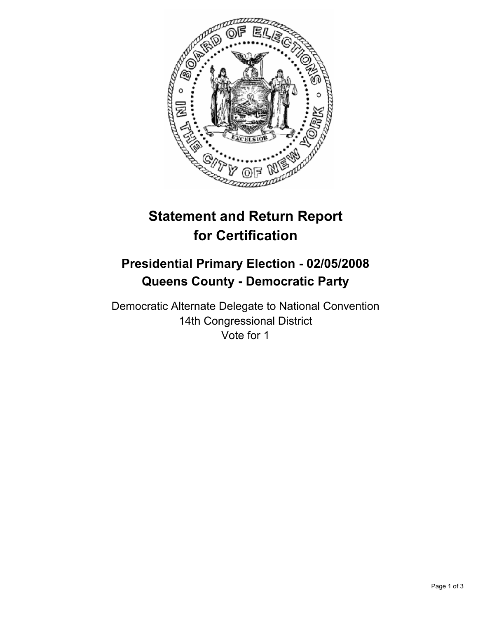

# **Statement and Return Report for Certification**

# **Presidential Primary Election - 02/05/2008 Queens County - Democratic Party**

Democratic Alternate Delegate to National Convention 14th Congressional District Vote for 1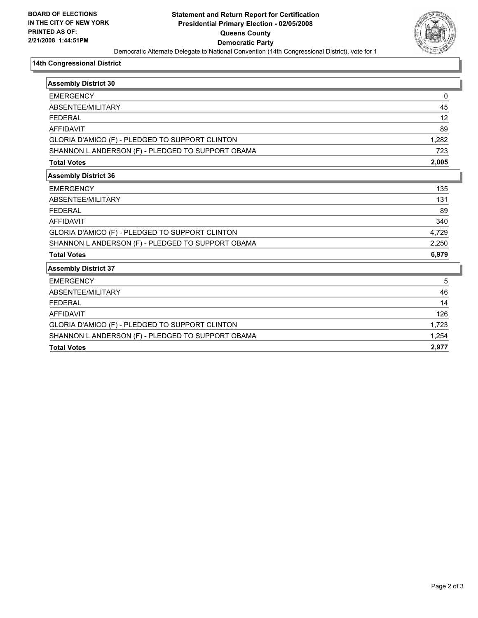

#### **14th Congressional District**

| <b>Assembly District 30</b>                       |       |
|---------------------------------------------------|-------|
| <b>EMERGENCY</b>                                  | 0     |
| ABSENTEE/MILITARY                                 | 45    |
| <b>FFDFRAL</b>                                    | 12    |
| <b>AFFIDAVIT</b>                                  | 89    |
| GLORIA D'AMICO (F) - PLEDGED TO SUPPORT CLINTON   | 1,282 |
| SHANNON L ANDERSON (F) - PLEDGED TO SUPPORT OBAMA | 723   |
| <b>Total Votes</b>                                | 2,005 |
| <b>Assembly District 36</b>                       |       |
| <b>EMERGENCY</b>                                  | 135   |
| ABSENTEE/MILITARY                                 | 131   |
| <b>FEDERAL</b>                                    | 89    |
| <b>AFFIDAVIT</b>                                  | 340   |
| GLORIA D'AMICO (F) - PLEDGED TO SUPPORT CLINTON   | 4,729 |
| SHANNON L ANDERSON (F) - PLEDGED TO SUPPORT OBAMA | 2,250 |
| <b>Total Votes</b>                                | 6,979 |
| <b>Assembly District 37</b>                       |       |
| <b>EMERGENCY</b>                                  | 5     |
| ABSENTEE/MILITARY                                 | 46    |
| <b>FEDERAL</b>                                    | 14    |
| <b>AFFIDAVIT</b>                                  | 126   |
| GLORIA D'AMICO (F) - PLEDGED TO SUPPORT CLINTON   | 1,723 |
| SHANNON L ANDERSON (F) - PLEDGED TO SUPPORT OBAMA | 1,254 |
| <b>Total Votes</b>                                | 2,977 |
|                                                   |       |